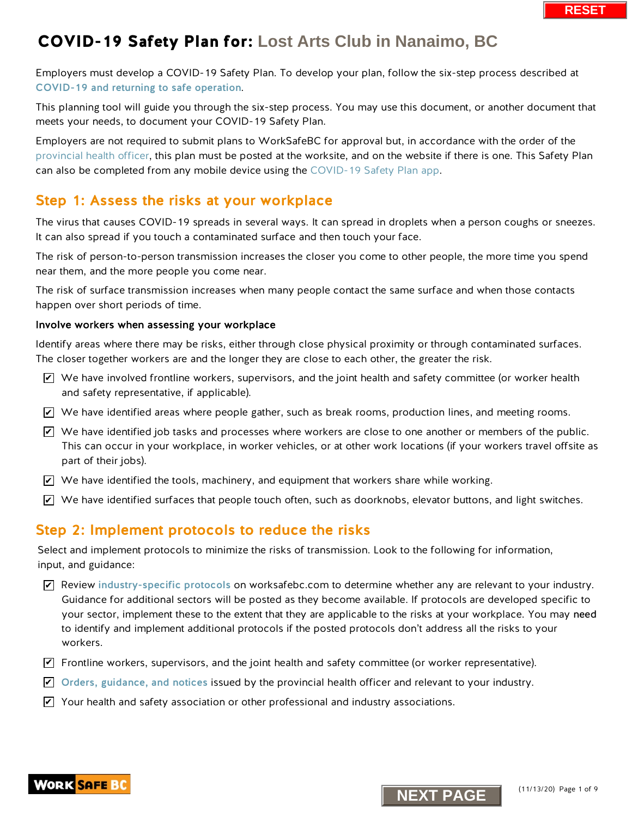Employers must develop a COVID-19 Safety Plan. To develop your plan, follow the six-step process described at [COVID-19 and returning to safe operation](https://www.worksafebc.com/en/about-us/covid-19-updates/covid-19-returning-safe-operation).

This planning tool will guide you through the six-step process. You may use this document, or another document that meets your needs, to document your COVID-19 Safety Plan.

Employers are not required to submit plans to WorkSafeBC for approval but, in accordance with the order of the [provincial health officer,](https://www2.gov.bc.ca/gov/content/health/about-bc-s-health-care-system/office-of-the-provincial-health-officer/current-health-topics/covid-19-novel-coronavirus) this plan must be posted at the worksite, and on the website if there is one. This Safety Plan can also be completed from any mobile device using th[e COVID-19 Safety Plan app.](https://www.worksafebc.com/en/resources/health-safety/interactive-tools/covid-19-safety-plan-app?lang=en&origin=s&returnurl=https%3A%2F%2Fwww.worksafebc.com%2Fen%2Fforms-resources%23sort%3D%2540fcomputeditemdatefield343%2520descending%26f%3Alanguage-facet%3D%5BEnglish%5D%26tags%3DCovid-19%7Ca96b6c96607345c481bb8621425ea03f)

### Step 1: Assess the risks at your workplace

The virus that causes COVID-19 spreads in several ways. It can spread in droplets when a person coughs or sneezes. It can also spread if you touch a contaminated surface and then touch your face.

The risk of person-to-person transmission increases the closer you come to other people, the more time you spend near them, and the more people you come near.

The risk of surface transmission increases when many people contact the same surface and when those contacts happen over short periods of time.

#### Involve workers when assessing your workplace

Identify areas where there may be risks, either through close physical proximity or through contaminated surfaces. The closer together workers are and the longer they are close to each other, the greater the risk.

- $\triangledown$  We have involved frontline workers, supervisors, and the joint health and safety committee (or worker health and safety representative, if applicable).
- $\blacktriangleright$  We have identified areas where people gather, such as break rooms, production lines, and meeting rooms.
- $\overline{\mathscr{L}}$  We have identified job tasks and processes where workers are close to one another or members of the public. This can occur in your workplace, in worker vehicles, or at other work locations (if your workers travel offsite as part of their jobs).
- $\blacktriangleright$  We have identified the tools, machinery, and equipment that workers share while working.
- $\blacktriangleright$  We have identified surfaces that people touch often, such as doorknobs, elevator buttons, and light switches.

### Step 2: Implement protocols to reduce the risks

Select and implement protocols to minimize the risks of transmission. Look to the following for information, input, and guidance:

- $\blacktriangleright$  Review [industry-specific protocols](https://www.worksafebc.com/en/about-us/covid-19-updates/covid-19-returning-safe-operation) on worksafebc.com to determine whether any are relevant to your industry. Guidance for additional sectors will be posted as they become available. If protocols are developed specific to your sector, implement these to the extent that they are applicable to the risks at your workplace. You may need to identify and implement additional protocols if the posted protocols don't address all the risks to your workers. **N** whave involved frontline workers, supervisors, and the joint health and safety committed  $\blacksquare$  We have involved frontline workers supervisors, and the joint health and safety committed  $\blacksquare$  We have identified giob
- $\blacktriangledown$  Frontline workers, supervisors, and the joint health and safety committee (or worker representative).
- $\blacktriangleright$  [Orders, guidance, and notices](https://www2.gov.bc.ca/gov/content/health/about-bc-s-health-care-system/office-of-the-provincial-health-officer/current-health-topics/covid-19-novel-coronavirus) issued by the provincial health officer and relevant to your industry.
- $\blacktriangleright$  Your health and safety association or other professional and industry associations.



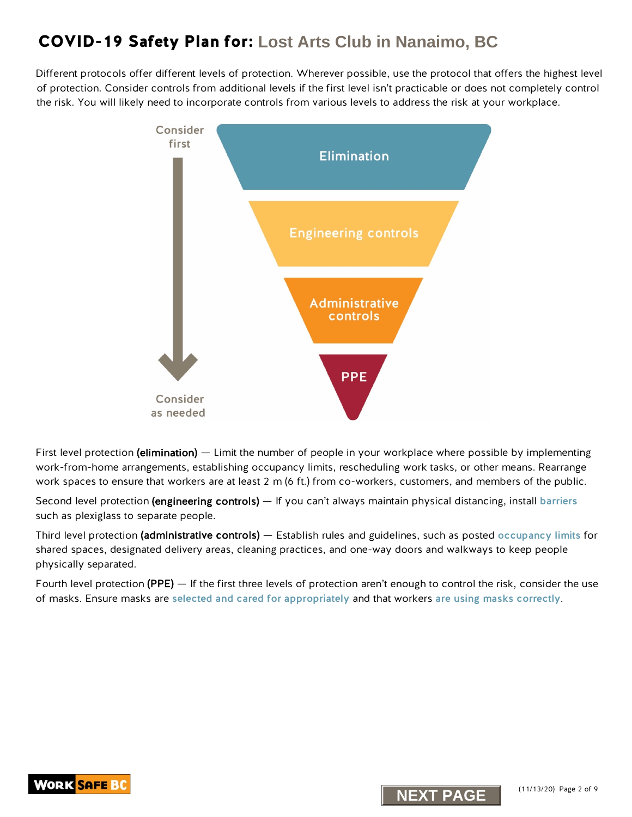Different protocols offer different levels of protection. Wherever possible, use the protocol that offers the highest level of protection. Consider controls from additional levels if the first level isn't practicable or does not completely control the risk. You will likely need to incorporate controls from various levels to address the risk at your workplace.



First level protection (elimination) — Limit the number of people in your workplace where possible by implementing work-from-home arrangements, establishing occupancy limits, rescheduling work tasks, or other means. Rearrange work spaces to ensure that workers are at least 2 m (6 ft.) from co-workers, customers, and members of the public.

Second level protection (engineering controls) — If you can't always maintain physical distancing, install [barriers](https://www.worksafebc.com/en/resources/health-safety/information-sheets/covid-19-health-safety-designing-effective-barriers?lang=en) such as plexiglass to separate people.

Third level protection (administrative controls) — Establish rules and guidelines, such as posted [occupancy limits](https://www.worksafebc.com/en/resources/health-safety/posters/help-prevent-spread-covid-19-occupancy-limit?lang=en) for shared spaces, designated delivery areas, cleaning practices, and one-way doors and walkways to keep people physically separated.

Fourth level protection (PPE) — If the first three levels of protection aren't enough to control the risk, consider the use of masks. Ensure masks are [selected and cared for appropriately](https://www.worksafebc.com/en/resources/health-safety/information-sheets/covid-19-health-safety-selecting-using-masks?lang=en) and that workers [are using masks correctly](https://www.worksafebc.com/en/resources/health-safety/posters/help-prevent-spread-covid-19-how-to-use-mask?lang=en).



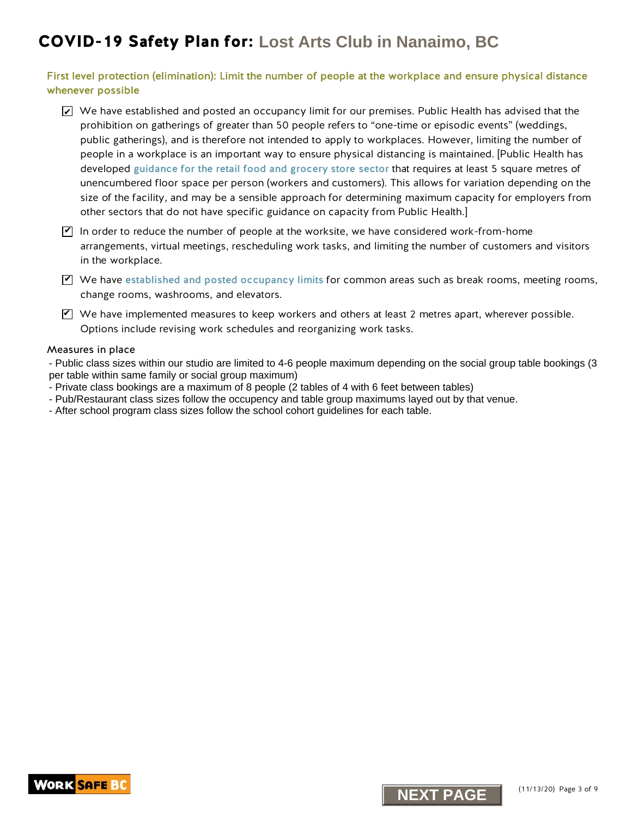First level protection (elimination): Limit the number of people at the workplace and ensure physical distance whenever possible

- $\blacktriangleright$  We have established and posted an occupancy limit for our premises. Public Health has advised that the prohibition on gatherings of greater than 50 people refers to "one-time or episodic events" (weddings, public gatherings), and is therefore not intended to apply to workplaces. However, limiting the number of people in a workplace is an important way to ensure physical distancing is maintained. [Public Health has developed gui[dance for the retail food and grocery store sector](https://www2.gov.bc.ca/assets/gov/health/about-bc-s-health-care-system/office-of-the-provincial-health-officer/covid-19/guidance_to_grocery_stores_april_25_final.pdf) that requires at least 5 square metres of unencumbered floor space per person (workers and customers). This allows for variation depending on the size of the facility, and may be a sensible approach for determining maximum capacity for employers from other sectors that do not have specific guidance on capacity from Public Health.]
- $\Psi$  In order to reduce the number of people at the worksite, we have considered work-from-home arrangements, virtual meetings, rescheduling work tasks, and limiting the number of customers and visitors in the workplace.
- $\Psi$  We have [established and posted occupancy limits](http://www.worksafebc.com/en/resources/health-safety/posters/help-prevent-spread-covid-19-occupancy-limit?lang=en) for common areas such as break rooms, meeting rooms, change rooms, washrooms, and elevators.
- $\blacktriangledown$  We have implemented measures to keep workers and others at least 2 metres apart, wherever possible. Options include revising work schedules and reorganizing work tasks.

#### Measures in place

- Public class sizes within our studio are limited to 4-6 people maximum depending on the social group table bookings (3 per table within same family or social group maximum)

- Private class bookings are a maximum of 8 people (2 tables of 4 with 6 feet between tables)
- Pub/Restaurant class sizes follow the occupency and table group maximums layed out by that venue.
- After school program class sizes follow the school cohort guidelines for each table.

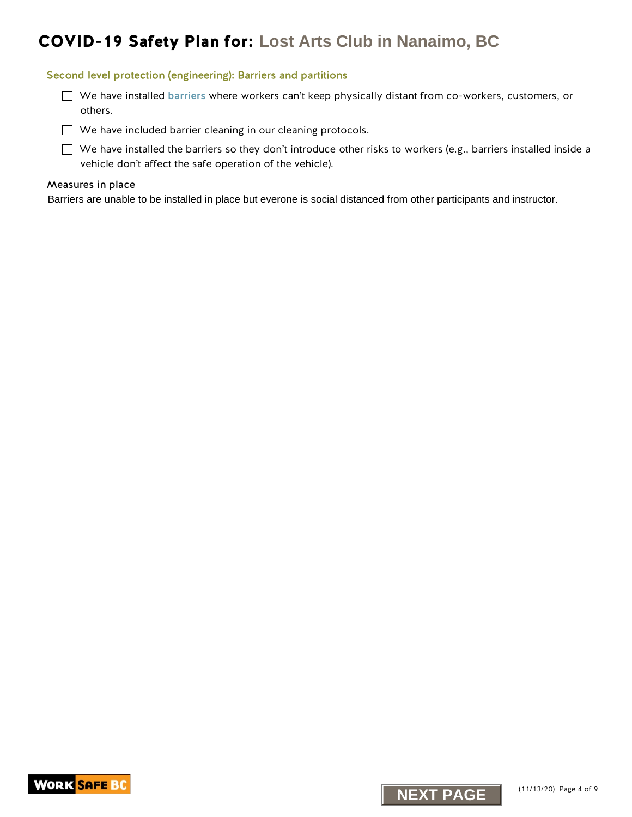#### Second level protection (engineering): Barriers and partitions

- We have installed [barriers](https://www.worksafebc.com/en/resources/health-safety/information-sheets/covid-19-health-safety-designing-effective-barriers?lang=en) where workers can't keep physically distant from co-workers, customers, or others.
- We have included barrier cleaning in our cleaning protocols.

 $\Box$  We have installed the barriers so they don't introduce other risks to workers (e.g., barriers installed inside a vehicle don't affect the safe operation of the vehicle).

#### Measures in place

Barriers are unable to be installed in place but everone is social distanced from other participants and instructor.



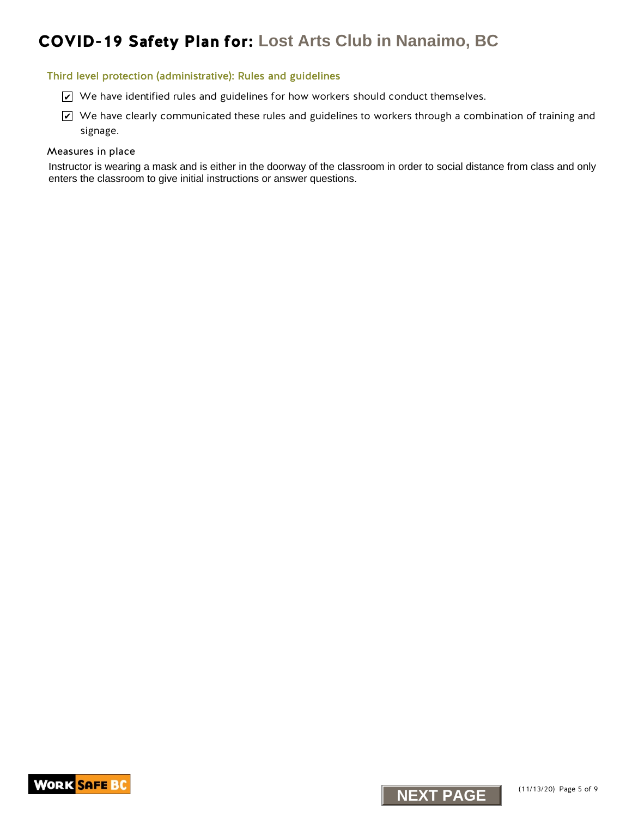#### Third level protection (administrative): Rules and guidelines

- $\triangleright$  We have identified rules and guidelines for how workers should conduct themselves.
- $\blacktriangleright$  We have clearly communicated these rules and guidelines to workers through a combination of training and signage. K. We have identified rules and guidelines for how workers should conduct themselves.<br>
NEXT PAGE<br>
Next interval of the communicated these rules and guidelines to workers through a communicated these rules as<br>
signage.<br>
su

#### Measures in place

Instructor is wearing a mask and is either in the doorway of the classroom in order to social distance from class and only enters the classroom to give initial instructions or answer questions.



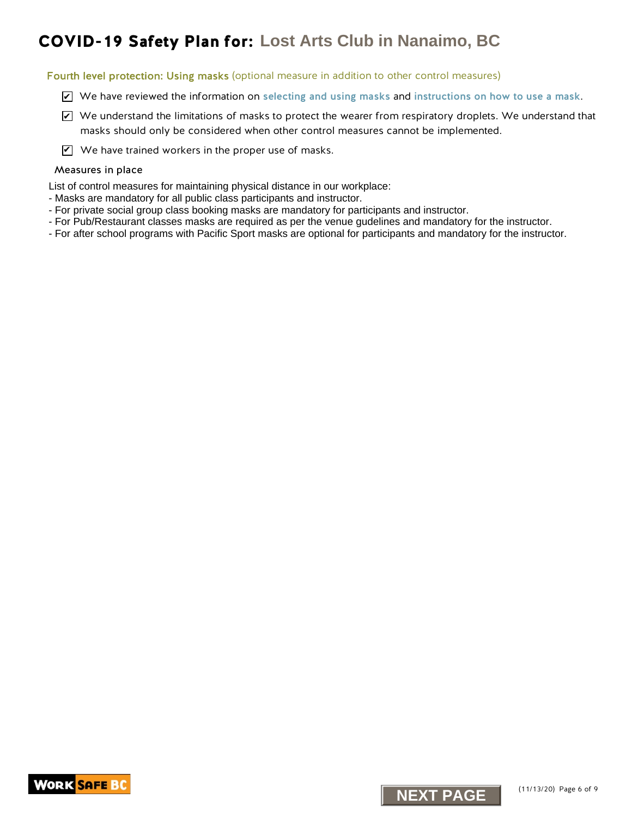Fourth level protection: Using masks (optional measure in addition to other control measures)

- $\triangledown$  We have reviewed the information on [selecting and using masks](https://www.worksafebc.com/en/resources/health-safety/information-sheets/covid-19-health-safety-selecting-using-masks?lang=en) and [instructions on how to use a mask](https://www.worksafebc.com/en/resources/health-safety/posters/help-prevent-spread-covid-19-how-to-use-mask?lang=en).
- $\blacktriangleright$  We understand the limitations of masks to protect the wearer from respiratory droplets. We understand that masks should only be considered when other control measures cannot be implemented. **NEXT PAGE CONTINUONS** TO THE SECTION OF THE SECTION OF THE SECTION OF THE SECTION OF THE SECTION OF THE SECTION OF THE SECTION OF THE SECTION OF THE SECTION OF THE SECTION OF THE SECTION OF THE SECTION OF THE SECTION OF
- $\mathbf{V}$  We have trained workers in the proper use of masks.

#### Measures in place

List of control measures for maintaining physical distance in our workplace:

- Masks are mandatory for all public class participants and instructor.
- For private social group class booking masks are mandatory for participants and instructor.
- For Pub/Restaurant classes masks are required as per the venue gudelines and mandatory for the instructor.
- For after school programs with Pacific Sport masks are optional for participants and mandatory for the instructor.



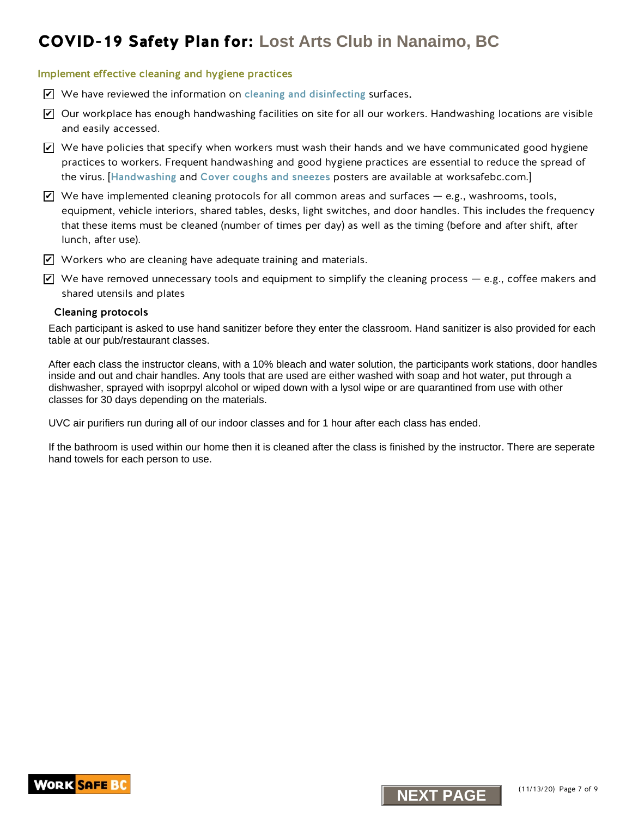#### Implement effective cleaning and hygiene practices

- $\triangledown$  We have reviewed the information on [cleaning and disinfecting](https://www.worksafebc.com/en/resources/health-safety/information-sheets/covid-19-health-safety-cleaning-disinfecting?lang=en) surfaces.
- $\blacktriangleright$  Our workplace has enough handwashing facilities on site for all our workers. Handwashing locations are visible and easily accessed.
- $\blacktriangleright$  We have policies that specify when workers must wash their hands and we have communicated good hygiene practices to workers. Frequent handwashing and good hygiene practices are essential to reduce the spread of the virus. [[Handwashing](https://www.worksafebc.com/en/resources/health-safety/posters/help-prevent-spread-covid-19-handwashing?lang=en) and [Cover coughs and sneezes](https://www.worksafebc.com/en/resources/health-safety/posters/help-prevent-spread-covid-19-cover-coughs-sneezes?lang=en) posters are available at worksafebc.com.]
- $\blacktriangleright$  We have implemented cleaning protocols for all common areas and surfaces e.g., washrooms, tools, equipment, vehicle interiors, shared tables, desks, light switches, and door handles. This includes the frequency that these items must be cleaned (number of times per day) as well as the timing (before and after shift, after lunch, after use). **NEXT PAGE CONTRANT SCRIPT**<br> **NEXT PROPERTIENT CONTRANT CONTRANT CONTRANT CONTRANT CONTRANT CONTRANT CONTRANT CONTRANT CONTRANT CONTRANT CONTRANT CONTRANT CONTRANT CONTRANT CONTRANT CONTRANT CONTRANT CONTRANT CONTRANT CONT**
- $\blacktriangledown$  Workers who are cleaning have adequate training and materials.
- $\blacktriangledown$  We have removed unnecessary tools and equipment to simplify the cleaning process e.g., coffee makers and shared utensils and plates

#### Cleaning protocols

Each participant is asked to use hand sanitizer before they enter the classroom. Hand sanitizer is also provided for each table at our pub/restaurant classes.

After each class the instructor cleans, with a 10% bleach and water solution, the participants work stations, door handles inside and out and chair handles. Any tools that are used are either washed with soap and hot water, put through a dishwasher, sprayed with isoprpyl alcohol or wiped down with a lysol wipe or are quarantined from use with other classes for 30 days depending on the materials.

UVC air purifiers run during all of our indoor classes and for 1 hour after each class has ended.

If the bathroom is used within our home then it is cleaned after the class is finished by the instructor. There are seperate hand towels for each person to use.



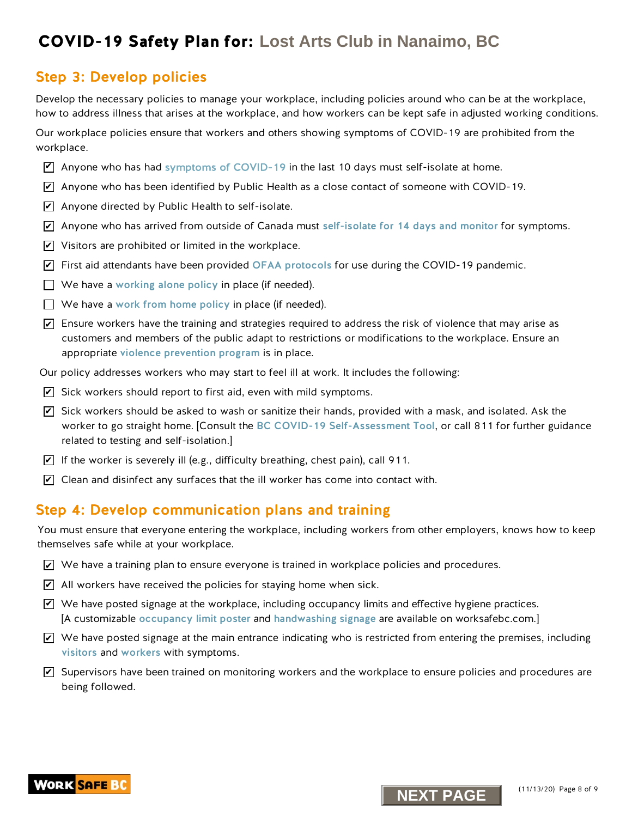### Step 3: Develop policies

Develop the necessary policies to manage your workplace, including policies around who can be at the workplace, how to address illness that arises at the workplace, and how workers can be kept safe in adjusted working conditions.

Our workplace policies ensure that workers and others showing symptoms of COVID-19 are prohibited from the workplace.

- $\triangledown$  Anyone who has ha[d symptoms of COVID-19](https://www.worksafebc.com/en/resources/health-safety/posters/help-prevent-spread-covid-19-entry-check-visitors?lang=en) in the last 10 days must self-isolate at home.
- $\overline{\mathscr{L}}$  Anyone who has been identified by Public Health as a close contact of someone with COVID-19.
- $\blacktriangleright$  Anyone directed by Public Health to self-isolate.
- $\overline{\mathscr{L}}$  Anyone who has arrived from outside of Canada must [self-isolate for 14 days and monitor](http://www.bccdc.ca/health-info/diseases-conditions/covid-19/self-isolation) for symptoms.
- $\blacktriangleright$  Visitors are prohibited or limited in the workplace.
- $\blacktriangleright$  First aid attendants have been provided [OFAA protocols](https://www.worksafebc.com/en/resources/health-safety/information-sheets/ofaa-protocols-covid-19-pandemic?lang=en) for use during the COVID-19 pandemic.
- $\Box$  We have a [working alone policy](https://www.worksafebc.com/en/health-safety/hazards-exposures/working-alone) in place (if needed).
- $\Box$  We have a work from home policy in place (if needed).
- $\blacktriangleright$  Ensure workers have the training and strategies required to address the risk of violence that may arise as customers and members of the public adapt to restrictions or modifications to the workplace. Ensure an appropriate [violence prevention progra](https://www.worksafebc.com/en/health-safety/hazards-exposures/violence)m is in place.
- Our policy addresses workers who may start to feel ill at work. It includes the following:
- $\blacktriangleright$  Sick workers should report to first aid, even with mild symptoms.
- $\overline{\mathscr{L}}$  Sick workers should be asked to wash or sanitize their hands, provided with a mask, and isolated. Ask the worker to go straight home. [Consult the [BC COVID-19 Self-Assessment Tool](https://bc.thrive.health/), or call 811 for further guidance related to testing and self-isolation.] **NEXT PERTURE THE SCRIP CONTIFICITY** CONTINUON IN DRIVING THE SCRIPT ON THE SCRIPT CONTINUON IN THE SCRIPT ON THE SCRIPT ON THE SCRIPT ON THE SCRIPT ON THE SCRIPT ON THE SCRIPT ON THE SCRIPT ON THE SCRIPT ON THE SCRIPT ON
- $\blacktriangleright$  If the worker is severely ill (e.g., difficulty breathing, chest pain), call 911.
- $\blacktriangleright$  Clean and disinfect any surfaces that the ill worker has come into contact with.

### Step 4: Develop communication plans and training

You must ensure that everyone entering the workplace, including workers from other employers, knows how to keep themselves safe while at your workplace.

- $\blacktriangleright$  We have a training plan to ensure everyone is trained in workplace policies and procedures.
- $\angle$  All workers have received the policies for staying home when sick.
- $\blacktriangledown$  We have posted signage at the workplace, including occupancy limits and effective hygiene practices. [A customizable [occupancy limit poster](https://www.worksafebc.com/en/resources/health-safety/posters/help-prevent-spread-covid-19-occupancy-limit?lang=en) and [handwashing signage](https://www.worksafebc.com/en/resources/health-safety/posters/help-prevent-spread-covid-19-handwashing?lang=en) are available on worksafebc.com.]
- $\blacktriangleright$  We have posted signage at the main entrance indicating who is restricted from entering the premises, including [visitors](https://www.worksafebc.com/en/resources/health-safety/posters/help-prevent-spread-covid-19-entry-check-visitors?lang=en) and [workers](https://www.worksafebc.com/en/resources/health-safety/posters/help-prevent-spread-covid-19-entry-check-workers?lang=en) with symptoms.
- $\blacktriangledown$  Supervisors have been trained on monitoring workers and the workplace to ensure policies and procedures are being followed.

![](_page_7_Picture_25.jpeg)

![](_page_7_Picture_26.jpeg)